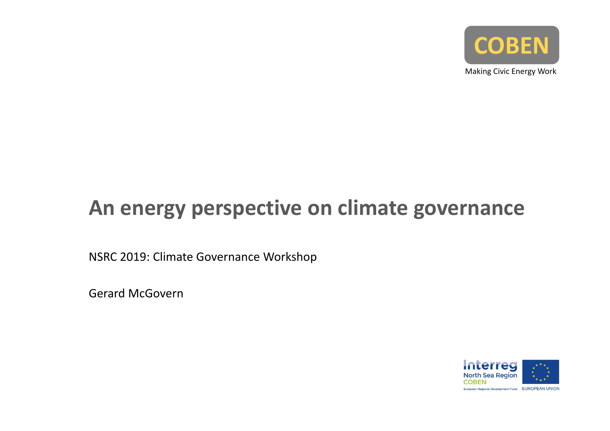

### e on clima **COBENAn energy perspective on climate governance**

NSRC 2019: Climate Governance Workshop

Gerard McGovern

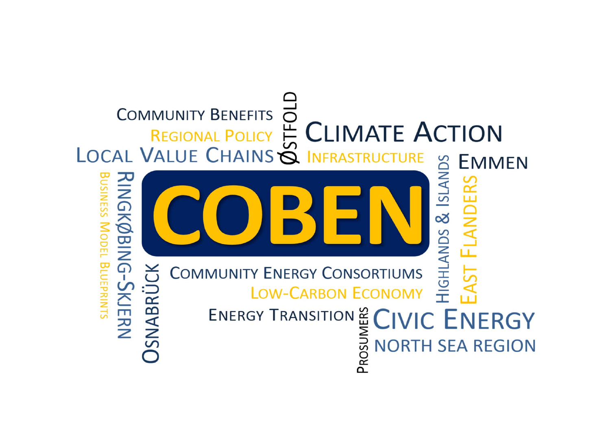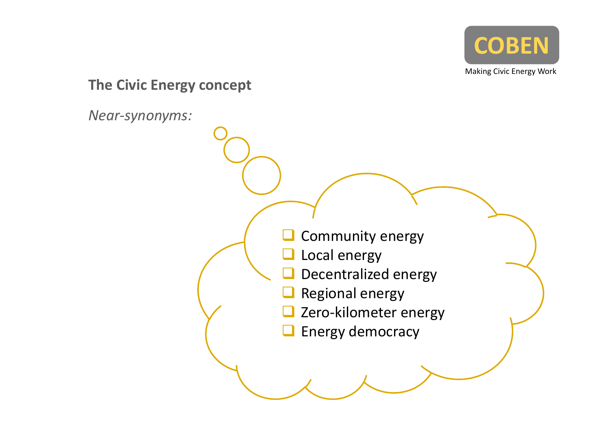

#### **The Civic Energy concept**

*Near‐synonyms:*

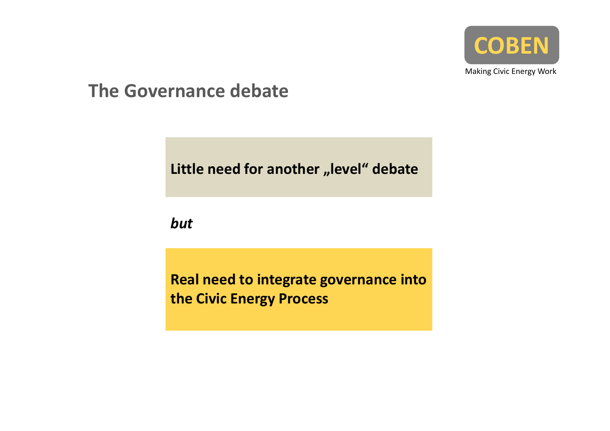

## **The Governance debate**

**Little need for another "level" debate**

**COBE** 

**COBEN**

*but*

**Real need to integrate governance into the Civic Energy Process**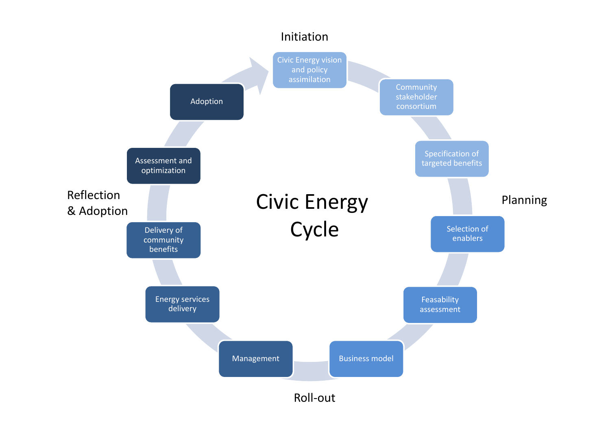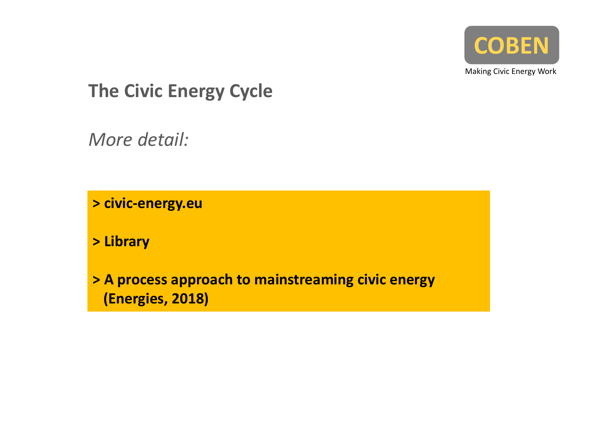

# **The Civic Energy Cycle**

*More detail:*

**> civic‐energy.eu**

**> Library**

**> A process approach to mainstreaming civic energy (Energies, 2018)**

**COBEN**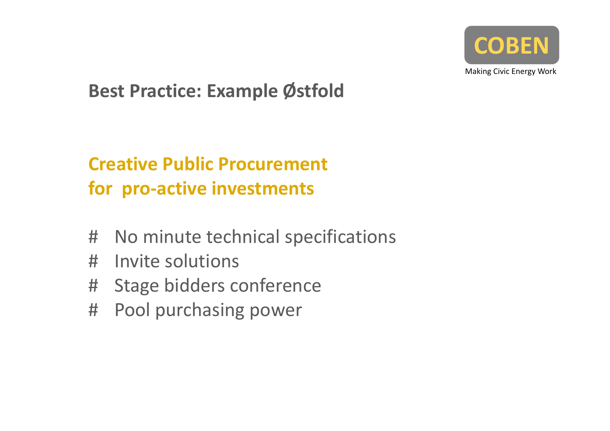

# **Best Practice: Example Østfold**

### **COBE Creative Public Procurement for pro‐active investments**

- # No minute technical specifications
- # Invite solutions
- # Stage bidders conference
- # Pool purchasing power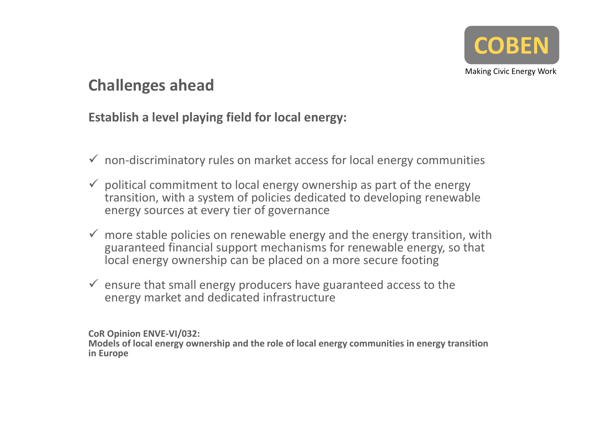

### **Challenges ahead**

#### **Establish a level playing field for local energy:**

- $\checkmark$  non-discriminatory rules on market access for local energy communities
- *c* dedicated to dever transition, with a system of policies dedicated to developing renewable<br>energy sources at every tier of governance  $\checkmark$  political commitment to local energy ownership as part of the energy energy sources at every tier of governance
- $\checkmark$  more stable policies on renewable energy and the energy transition, with guaranteed financial support mechanisms for renewable energy, so that local energy ownership can be placed on <sup>a</sup> more secure footing
- $\checkmark$  ensure that small energy producers have guaranteed access to the energy market and dedicated infrastructure

**CoR Opinion ENVE‐VI/032:**

**Models of local energy ownership and the role of local energy communities in energy transition in Europe**